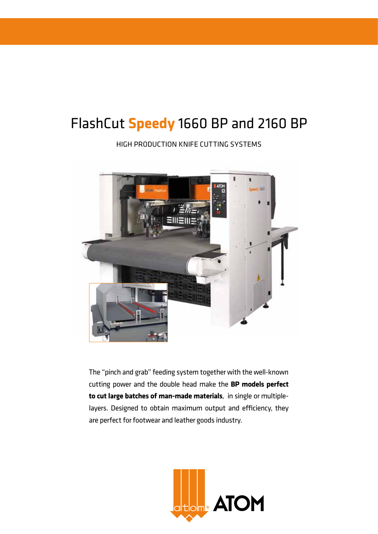# FlashCut **Speedy** 1660 BP and 2160 BP

High production knife cutting systems



The "pinch and grab" feeding system together with the well-known cutting power and the double head make the **BP models perfect to cut large batches of man-made materials**, in single or multiplelayers. Designed to obtain maximum output and efficiency, they are perfect for footwear and leather goods industry.